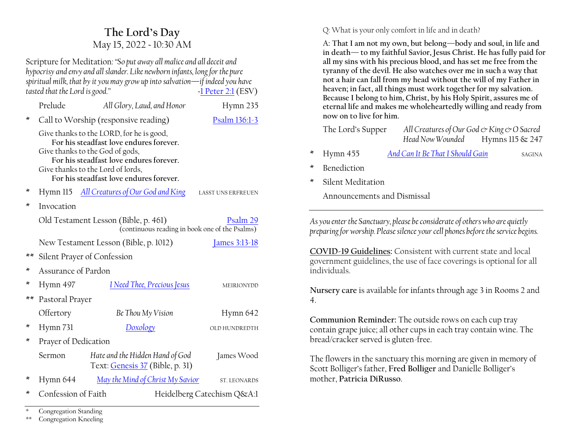# **The Lord·s Day** May 15, 2022 ~ 10:30 AM

Scripture for Meditation*:´So put away all malice and all deceit and hypocrisy and envy and all slander. Like newborn infants, long for the pure spiritual milk, that by it you may grow up into salvation—if indeed you have tasted that the Lord is goodµ ~*[1 Peter 2:1](https://www.esv.org/1+Peter+2/) (ESV)

|    | Prelude                                                                                                                                                                                                                                           | All Glory, Laud, and Honor                                         | Hymn 235                   |  |  |
|----|---------------------------------------------------------------------------------------------------------------------------------------------------------------------------------------------------------------------------------------------------|--------------------------------------------------------------------|----------------------------|--|--|
| ∗  | Call to Worship (responsive reading)                                                                                                                                                                                                              | Psalm 136:1-3                                                      |                            |  |  |
|    | Give thanks to the LORD, for he is good,<br>For his steadfast love endures forever.<br>Give thanks to the God of gods,<br>For his steadfast love endures forever.<br>Give thanks to the Lord of lords,<br>For his steadfast love endures forever. |                                                                    |                            |  |  |
| ×  |                                                                                                                                                                                                                                                   | Hymn 115 All Creatures of Our God and King                         | LASST UNS ERFREUEN         |  |  |
| ∗  | Invocation                                                                                                                                                                                                                                        |                                                                    |                            |  |  |
|    | Old Testament Lesson (Bible, p. 461)<br>Psalm 29<br>(continuous reading in book one of the Psalms)                                                                                                                                                |                                                                    |                            |  |  |
|    | New Testament Lesson (Bible, p. 1012)<br><u>James 3:13-18</u>                                                                                                                                                                                     |                                                                    |                            |  |  |
| ** | Silent Prayer of Confession                                                                                                                                                                                                                       |                                                                    |                            |  |  |
| ×  | Assurance of Pardon                                                                                                                                                                                                                               |                                                                    |                            |  |  |
| ×  | Hymn 497                                                                                                                                                                                                                                          | <u>I Need Thee, Precious Jesus</u>                                 | MEIRIONYDD                 |  |  |
| ** | Pastoral Prayer                                                                                                                                                                                                                                   |                                                                    |                            |  |  |
|    | Offertory                                                                                                                                                                                                                                         | Be Thou My Vision                                                  | Hymn 642                   |  |  |
| ×  | Hymn 731                                                                                                                                                                                                                                          | Doxology                                                           | OLD HUNDREDTH              |  |  |
| ×  | Prayer of Dedication                                                                                                                                                                                                                              |                                                                    |                            |  |  |
|    | Sermon                                                                                                                                                                                                                                            | Hate and the Hidden Hand of God<br>Text: Genesis 37 (Bible, p. 31) | James Wood                 |  |  |
| ×  | Hymn 644                                                                                                                                                                                                                                          | <u>May the Mind of Christ My Savior</u>                            | <b>ST. LEONARDS</b>        |  |  |
| ∗  | Confession of Faith                                                                                                                                                                                                                               |                                                                    | Heidelberg Catechism Q&A:1 |  |  |

Q: What is your only comfort in life and in death?

**A: That I am not my own, but belong³body and soul, in life and in death³ to my faithful Savior, Jesus Christ. He has fully paid for all my sins with his precious blood, and has set me free from the tyranny of the devil. He also watches over me in such a way that not a hair can fall from my head without the will of my Father in heaven; in fact, all things must work together for my salvation. Because I belong to him, Christ, by his Holy Spirit, assures me of eternal life and makes me wholeheartedly willing and ready from now on to live for him.**

| The Lord's Supper                                                                                                                                                                                                                                                                                                                                                                                                  | All Creatures of Our God & King & O Sacred<br>Head Now Wounded | Hymns 115 & 247 |  |  |  |  |
|--------------------------------------------------------------------------------------------------------------------------------------------------------------------------------------------------------------------------------------------------------------------------------------------------------------------------------------------------------------------------------------------------------------------|----------------------------------------------------------------|-----------------|--|--|--|--|
| ∗<br>Hymn 455                                                                                                                                                                                                                                                                                                                                                                                                      | And Can It Be That I Should Gain                               | <b>SAGINA</b>   |  |  |  |  |
| ×<br><b>Benediction</b>                                                                                                                                                                                                                                                                                                                                                                                            |                                                                |                 |  |  |  |  |
| Silent Meditation<br>×                                                                                                                                                                                                                                                                                                                                                                                             |                                                                |                 |  |  |  |  |
|                                                                                                                                                                                                                                                                                                                                                                                                                    | Announcements and Dismissal                                    |                 |  |  |  |  |
| As you enter the Sanctuary, please be considerate of others who are quietly<br>preparing for worship. Please silence your cell phones before the service begins.<br>COVID-19 Guidelines: Consistent with current state and local<br>government guidelines, the use of face coverings is optional for all<br>individuals.<br>Nursery care is available for infants through age 3 in Rooms 2 and<br>$\overline{4}$ . |                                                                |                 |  |  |  |  |
| Communion Reminder: The outside rows on each cup tray<br>contain grape juice; all other cups in each tray contain wine. The<br>bread/cracker served is gluten-free.                                                                                                                                                                                                                                                |                                                                |                 |  |  |  |  |
| The flowers in the sanctuary this morning are given in memory of                                                                                                                                                                                                                                                                                                                                                   |                                                                |                 |  |  |  |  |

6FR Scott Bolliger's father, Fred Bolliger and Danielle Bolliger's mother, **Patricia DiRusso**.

Congregation Standing

\*\* Congregation Kneeling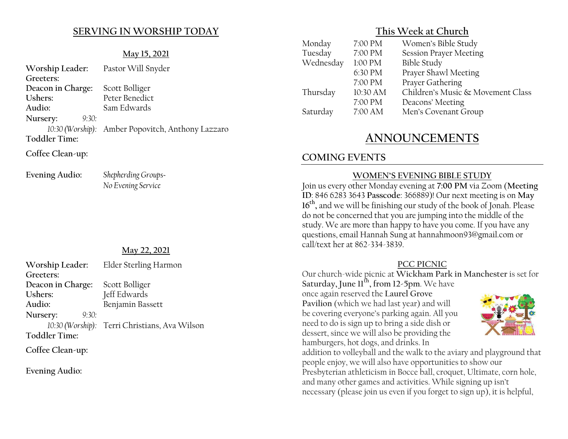# **SERVING IN WORSHIP TODAY**

#### **May 15, 2021**

| Worship Leader: Pastor Will Snyder |                                                   |
|------------------------------------|---------------------------------------------------|
| Greeters:                          |                                                   |
| Deacon in Charge:                  | Scott Bolliger                                    |
| Ushers:                            | Peter Benedict                                    |
| Audio:                             | Sam Edwards                                       |
| Nursery:<br>9:30:                  |                                                   |
|                                    | 10:30 (Worship): Amber Popovitch, Anthony Lazzaro |
| <b>Toddler Time:</b>               |                                                   |
| Coffee Clean-up:                   |                                                   |

**Evening Audio:** *Shepherding Groups~ No Evening Service*

#### **May 22, 2021**

| Worship Leader:      | Elder Sterling Harmon                         |
|----------------------|-----------------------------------------------|
| Greeters:            |                                               |
| Deacon in Charge:    | Scott Bolliger                                |
| Ushers:              | Jeff Edwards                                  |
| Audio:               | Benjamin Bassett                              |
| Nursery:<br>9:30:    |                                               |
|                      | 10:30 (Worship): Terri Christians, Ava Wilson |
| <b>Toddler Time:</b> |                                               |
|                      |                                               |

**Coffee Clean-up:**

**Evening Audio:**

# **This Week at Church**

| Monday    | 7:00 PM  | Women's Bible Study               |
|-----------|----------|-----------------------------------|
| Tuesday   | 7:00 PM  | <b>Session Prayer Meeting</b>     |
| Wednesday | 1:00 PM  | <b>Bible Study</b>                |
|           | 6:30 PM  | Prayer Shawl Meeting              |
|           | 7:00 PM  | Prayer Gathering                  |
| Thursday  | 10:30 AM | Children's Music & Movement Class |
|           | 7:00 PM  | Deacons' Meeting                  |
| Saturday  | 7:00 AM  | Men's Covenant Group              |
|           |          |                                   |

# **ANNOUNCEMENTS**

# **COMING EVENTS**

hamburgers, hot dogs, and drinks. In

#### **WOMEN'S EVENING BIBLE STUDY**

Join us every other Monday evening at **7:00 PM** via Zoom (**Meeting ID**: 846 6283 3643 **Passcode**: 366889)! Our next meeting is on **May 16th,** and we will be finishing our study of the book of Jonah. Please do not be concerned that you are jumping into the middle of the study. We are more than happy to have you come. If you have any questions, email Hannah Sung at hannahmoon93@gmail.com or call/text her at 862-334-3839.

#### **PCC PICNIC**

Our church-wide picnic at **Wickham Park in Manchester** is set for **Saturday, June 11th, from 12-5pm**. We have once again reserved the **Laurel Grove Pavilion** (which we had last year) and will be covering everyone's parking again. All you need to do is sign up to bring a side dish or dessert, since we will also be providing the



addition to volleyball and the walk to the aviary and playground that people enjoy, we will also have opportunities to show our Presbyterian athleticism in Bocce ball, croquet, Ultimate, corn hole, and many other games and activities. While signing up isn't necessary (please join us even if you forget to sign up), it is helpful,